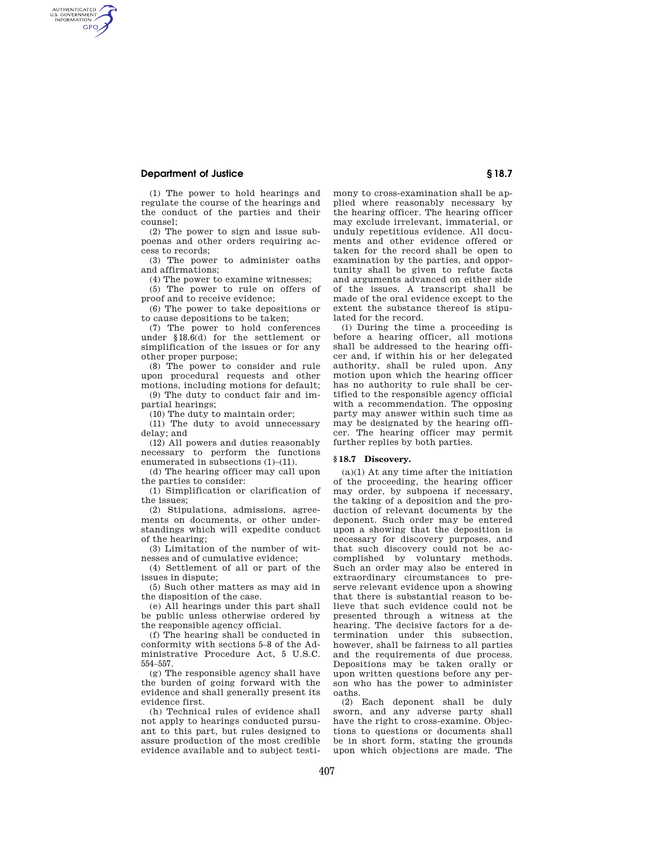### **Department of Justice § 18.7**

AUTHENTICATED<br>U.S. GOVERNMENT<br>INFORMATION **GPO** 

> (1) The power to hold hearings and regulate the course of the hearings and the conduct of the parties and their counsel;

> (2) The power to sign and issue subpoenas and other orders requiring access to records;

> (3) The power to administer oaths and affirmations;

(4) The power to examine witnesses;

(5) The power to rule on offers of proof and to receive evidence;

(6) The power to take depositions or to cause depositions to be taken;

(7) The power to hold conferences under §18.6(d) for the settlement or simplification of the issues or for any other proper purpose;

(8) The power to consider and rule upon procedural requests and other motions, including motions for default;

(9) The duty to conduct fair and impartial hearings;

(10) The duty to maintain order;

(11) The duty to avoid unnecessary delay; and

(12) All powers and duties reasonably necessary to perform the functions enumerated in subsections (1)–(11).

(d) The hearing officer may call upon the parties to consider:

(1) Simplification or clarification of the issues;

(2) Stipulations, admissions, agreements on documents, or other understandings which will expedite conduct of the hearing;

(3) Limitation of the number of witnesses and of cumulative evidence;

(4) Settlement of all or part of the issues in dispute;

(5) Such other matters as may aid in the disposition of the case.

(e) All hearings under this part shall be public unless otherwise ordered by the responsible agency official.

(f) The hearing shall be conducted in conformity with sections 5–8 of the Administrative Procedure Act, 5 U.S.C. 554–557.

(g) The responsible agency shall have the burden of going forward with the evidence and shall generally present its evidence first.

(h) Technical rules of evidence shall not apply to hearings conducted pursuant to this part, but rules designed to assure production of the most credible evidence available and to subject testimony to cross-examination shall be applied where reasonably necessary by the hearing officer. The hearing officer may exclude irrelevant, immaterial, or unduly repetitious evidence. All documents and other evidence offered or taken for the record shall be open to examination by the parties, and opportunity shall be given to refute facts and arguments advanced on either side of the issues. A transcript shall be made of the oral evidence except to the extent the substance thereof is stipulated for the record.

(i) During the time a proceeding is before a hearing officer, all motions shall be addressed to the hearing officer and, if within his or her delegated authority, shall be ruled upon. Any motion upon which the hearing officer has no authority to rule shall be certified to the responsible agency official with a recommendation. The opposing party may answer within such time as may be designated by the hearing officer. The hearing officer may permit further replies by both parties.

#### **§ 18.7 Discovery.**

 $(a)(1)$  At any time after the initiation of the proceeding, the hearing officer may order, by subpoena if necessary, the taking of a deposition and the production of relevant documents by the deponent. Such order may be entered upon a showing that the deposition is necessary for discovery purposes, and that such discovery could not be accomplished by voluntary methods. Such an order may also be entered in extraordinary circumstances to preserve relevant evidence upon a showing that there is substantial reason to believe that such evidence could not be presented through a witness at the hearing. The decisive factors for a determination under this subsection, however, shall be fairness to all parties and the requirements of due process. Depositions may be taken orally or upon written questions before any person who has the power to administer oaths.

(2) Each deponent shall be duly sworn, and any adverse party shall have the right to cross-examine. Objections to questions or documents shall be in short form, stating the grounds upon which objections are made. The